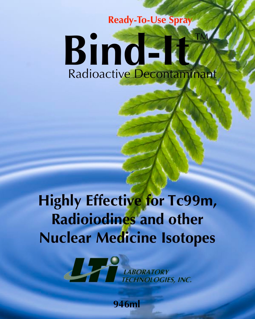### **Ready-To-Use Spray**

## **Bind-It** Radioactive Decontaminant  $\frac{1}{\sqrt{2}}$

# **Highly Effective for Tc99m, Radioiodines and other Nuclear Medicine Isotopes**



**946ml**